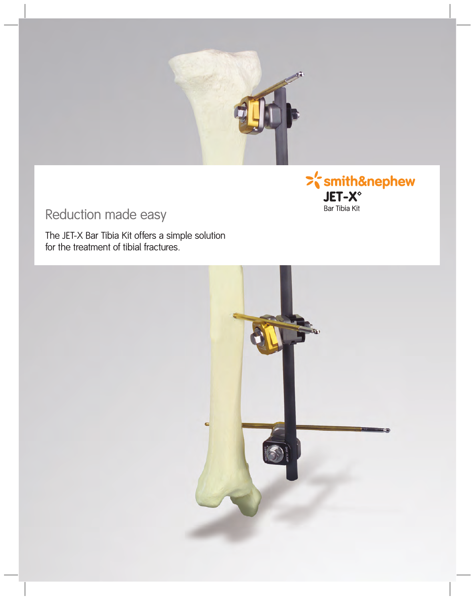



## Reduction made easy

The JET-X Bar Tibia Kit offers a simple solution for the treatment of tibial fractures.